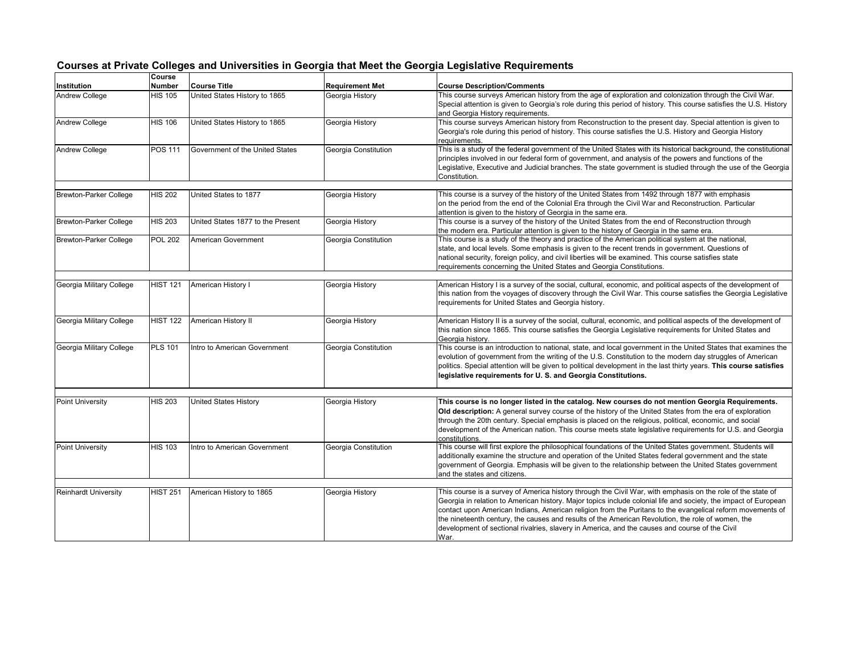|                               | Course          |                                   |                        |                                                                                                                                                                                                                                                                                                                                                                                                                                                                                                                                                            |
|-------------------------------|-----------------|-----------------------------------|------------------------|------------------------------------------------------------------------------------------------------------------------------------------------------------------------------------------------------------------------------------------------------------------------------------------------------------------------------------------------------------------------------------------------------------------------------------------------------------------------------------------------------------------------------------------------------------|
| Institution                   | <b>Number</b>   | <b>Course Title</b>               | <b>Requirement Met</b> | <b>Course Description/Comments</b>                                                                                                                                                                                                                                                                                                                                                                                                                                                                                                                         |
| <b>Andrew College</b>         | <b>HIS 105</b>  | United States History to 1865     | Georgia History        | This course surveys American history from the age of exploration and colonization through the Civil War.<br>Special attention is given to Georgia's role during this period of history. This course satisfies the U.S. History<br>and Georgia History requirements.                                                                                                                                                                                                                                                                                        |
| <b>Andrew College</b>         | <b>HIS 106</b>  | United States History to 1865     | Georgia History        | This course surveys American history from Reconstruction to the present day. Special attention is given to<br>Georgia's role during this period of history. This course satisfies the U.S. History and Georgia History<br>requirements.                                                                                                                                                                                                                                                                                                                    |
| Andrew College                | POS 111         | Government of the United States   | Georgia Constitution   | This is a study of the federal government of the United States with its historical background, the constitutional<br>principles involved in our federal form of government, and analysis of the powers and functions of the<br>Legislative, Executive and Judicial branches. The state government is studied through the use of the Georgia<br>Constitution.                                                                                                                                                                                               |
| <b>Brewton-Parker College</b> | <b>HIS 202</b>  | United States to 1877             | Georgia History        | This course is a survey of the history of the United States from 1492 through 1877 with emphasis<br>on the period from the end of the Colonial Era through the Civil War and Reconstruction. Particular<br>attention is given to the history of Georgia in the same era.                                                                                                                                                                                                                                                                                   |
| <b>Brewton-Parker College</b> | <b>HIS 203</b>  | United States 1877 to the Present | Georgia History        | This course is a survey of the history of the United States from the end of Reconstruction through<br>the modern era. Particular attention is given to the history of Georgia in the same era.                                                                                                                                                                                                                                                                                                                                                             |
| <b>Brewton-Parker College</b> | <b>POL 202</b>  | American Government               | Georgia Constitution   | This course is a study of the theory and practice of the American political system at the national,<br>state, and local levels. Some emphasis is given to the recent trends in government. Questions of<br>national security, foreign policy, and civil liberties will be examined. This course satisfies state<br>requirements concerning the United States and Georgia Constitutions.                                                                                                                                                                    |
| Georgia Military College      | <b>HIST 121</b> | American History I                | Georgia History        | American History I is a survey of the social, cultural, economic, and political aspects of the development of<br>this nation from the voyages of discovery through the Civil War. This course satisfies the Georgia Legislative<br>requirements for United States and Georgia history.                                                                                                                                                                                                                                                                     |
| Georgia Military College      | <b>HIST 122</b> | American History II               | Georgia History        | American History II is a survey of the social, cultural, economic, and political aspects of the development of<br>this nation since 1865. This course satisfies the Georgia Legislative requirements for United States and<br>Georgia history.                                                                                                                                                                                                                                                                                                             |
| Georgia Military College      | <b>PLS 101</b>  | Intro to American Government      | Georgia Constitution   | This course is an introduction to national, state, and local government in the United States that examines the<br>evolution of government from the writing of the U.S. Constitution to the modern day struggles of American<br>politics. Special attention will be given to political development in the last thirty years. This course satisfies<br>legislative requirements for U.S. and Georgia Constitutions.                                                                                                                                          |
| <b>Point University</b>       | <b>HIS 203</b>  | <b>United States History</b>      | Georgia History        | This course is no longer listed in the catalog. New courses do not mention Georgia Requirements.<br>Old description: A general survey course of the history of the United States from the era of exploration<br>through the 20th century. Special emphasis is placed on the religious, political, economic, and social<br>development of the American nation. This course meets state legislative requirements for U.S. and Georgia<br>constitutions.                                                                                                      |
| Point University              | <b>HIS 103</b>  | Intro to American Government      | Georgia Constitution   | This course will first explore the philosophical foundations of the United States government. Students will<br>additionally examine the structure and operation of the United States federal government and the state<br>government of Georgia. Emphasis will be given to the relationship between the United States government<br>and the states and citizens.                                                                                                                                                                                            |
| <b>Reinhardt University</b>   | <b>HIST 251</b> | American History to 1865          | Georgia History        | This course is a survey of America history through the Civil War, with emphasis on the role of the state of<br>Georgia in relation to American history. Major topics include colonial life and society, the impact of European<br>contact upon American Indians, American religion from the Puritans to the evangelical reform movements of<br>the nineteenth century, the causes and results of the American Revolution, the role of women, the<br>development of sectional rivalries, slavery in America, and the causes and course of the Civil<br>War. |

## **Courses at Private Colleges and Universities in Georgia that Meet the Georgia Legislative Requirements**